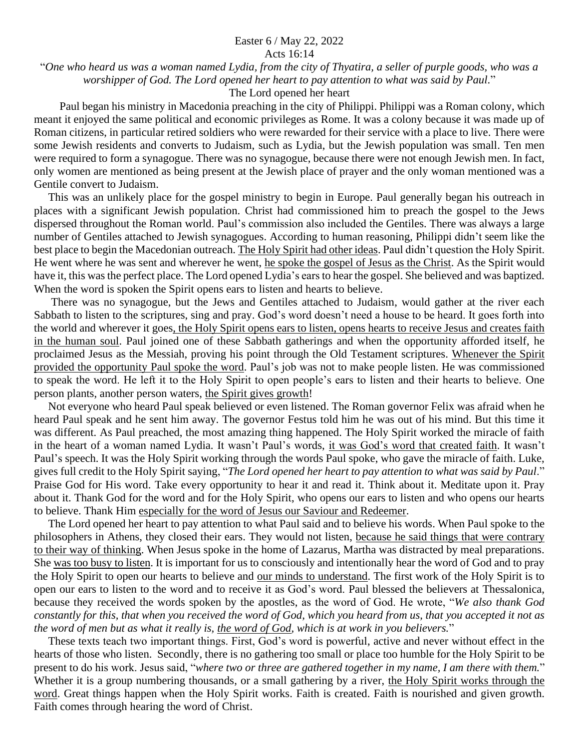## Easter 6 / May 22, 2022

Acts 16:14

"*One who heard us was a woman named Lydia, from the city of Thyatira, a seller of purple goods, who was a worshipper of God. The Lord opened her heart to pay attention to what was said by Paul.*"

The Lord opened her heart

 Paul began his ministry in Macedonia preaching in the city of Philippi. Philippi was a Roman colony, which meant it enjoyed the same political and economic privileges as Rome. It was a colony because it was made up of Roman citizens, in particular retired soldiers who were rewarded for their service with a place to live. There were some Jewish residents and converts to Judaism, such as Lydia, but the Jewish population was small. Ten men were required to form a synagogue. There was no synagogue, because there were not enough Jewish men. In fact, only women are mentioned as being present at the Jewish place of prayer and the only woman mentioned was a Gentile convert to Judaism.

 This was an unlikely place for the gospel ministry to begin in Europe. Paul generally began his outreach in places with a significant Jewish population. Christ had commissioned him to preach the gospel to the Jews dispersed throughout the Roman world. Paul's commission also included the Gentiles. There was always a large number of Gentiles attached to Jewish synagogues. According to human reasoning, Philippi didn't seem like the best place to begin the Macedonian outreach. The Holy Spirit had other ideas. Paul didn't question the Holy Spirit. He went where he was sent and wherever he went, he spoke the gospel of Jesus as the Christ. As the Spirit would have it, this was the perfect place. The Lord opened Lydia's earsto hear the gospel. She believed and was baptized. When the word is spoken the Spirit opens ears to listen and hearts to believe.

 There was no synagogue, but the Jews and Gentiles attached to Judaism, would gather at the river each Sabbath to listen to the scriptures, sing and pray. God's word doesn't need a house to be heard. It goes forth into the world and wherever it goes, the Holy Spirit opens ears to listen, opens hearts to receive Jesus and creates faith in the human soul. Paul joined one of these Sabbath gatherings and when the opportunity afforded itself, he proclaimed Jesus as the Messiah, proving his point through the Old Testament scriptures. Whenever the Spirit provided the opportunity Paul spoke the word. Paul's job was not to make people listen. He was commissioned to speak the word. He left it to the Holy Spirit to open people's ears to listen and their hearts to believe. One person plants, another person waters, the Spirit gives growth!

 Not everyone who heard Paul speak believed or even listened. The Roman governor Felix was afraid when he heard Paul speak and he sent him away. The governor Festus told him he was out of his mind. But this time it was different. As Paul preached, the most amazing thing happened. The Holy Spirit worked the miracle of faith in the heart of a woman named Lydia. It wasn't Paul's words, it was God's word that created faith. It wasn't Paul's speech. It was the Holy Spirit working through the words Paul spoke, who gave the miracle of faith. Luke, gives full credit to the Holy Spirit saying, "*The Lord opened her heart to pay attention to what was said by Paul*." Praise God for His word. Take every opportunity to hear it and read it. Think about it. Meditate upon it. Pray about it. Thank God for the word and for the Holy Spirit, who opens our ears to listen and who opens our hearts to believe. Thank Him especially for the word of Jesus our Saviour and Redeemer.

 The Lord opened her heart to pay attention to what Paul said and to believe his words. When Paul spoke to the philosophers in Athens, they closed their ears. They would not listen, because he said things that were contrary to their way of thinking. When Jesus spoke in the home of Lazarus, Martha was distracted by meal preparations. She was too busy to listen. It is important for us to consciously and intentionally hear the word of God and to pray the Holy Spirit to open our hearts to believe and our minds to understand. The first work of the Holy Spirit is to open our ears to listen to the word and to receive it as God's word. Paul blessed the believers at Thessalonica, because they received the words spoken by the apostles, as the word of God. He wrote, "*We also thank God constantly for this, that when you received the word of God, which you heard from us, that you accepted it not as the word of men but as what it really is, the word of God, which is at work in you believers.*"

 These texts teach two important things. First, God's word is powerful, active and never without effect in the hearts of those who listen. Secondly, there is no gathering too small or place too humble for the Holy Spirit to be present to do his work. Jesus said, "*where two or three are gathered together in my name, I am there with them.*" Whether it is a group numbering thousands, or a small gathering by a river, the Holy Spirit works through the word. Great things happen when the Holy Spirit works. Faith is created. Faith is nourished and given growth. Faith comes through hearing the word of Christ.